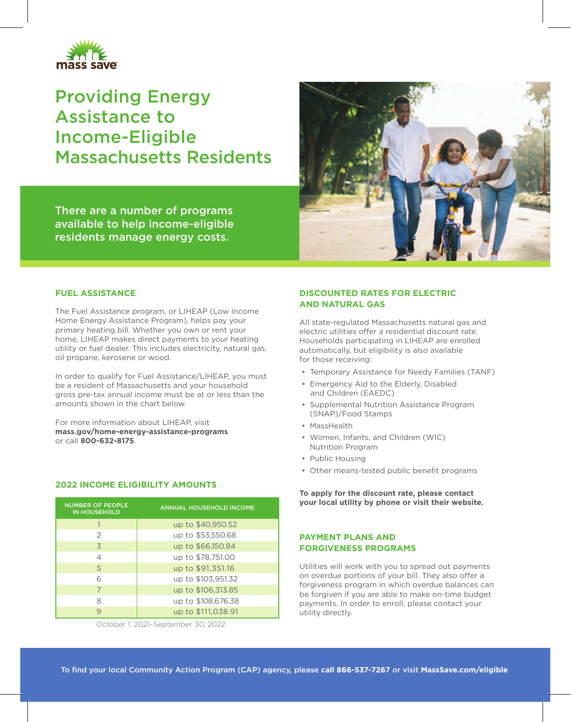

# Providing Energy Assistance to Income-Eligible Massachusetts Residents



There are a number of programs available to help income-eligible residents manage energy costs.

#### **FUEL ASSISTANCE**

The Fuel Assistance program, or LIHEAP (Low Income Home Energy Assistance Program), helps pay your primary heating bill. Whether you own or rent your home, LIHEAP makes direct payments to your heating utility or fuel dealer. This includes electricity, natural gas, oil propane, kerosene or wood.

In order to qualify for Fuel Assistance/LIHEAP, you must be a resident of Massachusetts and your household gross pre-tax annual income must be at or less than the amounts shown in the chart below.

For more information about LIHEAP, visit **mass.gov/home-energy-assistance-programs** or call **800-632-8175**.

### **2022 INCOME ELIGIBILITY AMOUNTS**

| <b>NUMBER OF PEOPLE</b><br><b>IN HOUSEHOLD</b> | <b>ANNUAL HOUSEHOLD INCOME</b> |
|------------------------------------------------|--------------------------------|
|                                                | up to \$40,950.52              |
| 2                                              | up to \$53,550.68              |
| 3                                              | up to \$66,150.84              |
| 4                                              | up to \$78,751.00              |
| 5                                              | up to \$91,351.16              |
| 6                                              | up to \$103,951.32             |
| 7                                              | up to \$106,313.85             |
| 8                                              | up to \$108,676.38             |
| 9                                              | up to \$111,038.91             |

October 1, 2021–September 30, 2022

### **DISCOUNTED RATES FOR ELECTRIC AND NATURAL GAS**

All state-regulated Massachusetts natural gas and electric utilities offer a residential discount rate. Households participating in LIHEAP are enrolled automatically, but eligibility is also available for those receiving:

- Temporary Assistance for Needy Families (TANF)
- Emergency Aid to the Elderly, Disabled and Children (EAEDC)
- Supplemental Nutrition Assistance Program (SNAP)/Food Stamps
- MassHealth
- Women, Infants, and Children (WIC) Nutrition Program
- Public Housing
- Other means-tested public benefit programs

**To apply for the discount rate, please contact your local utility by phone or visit their website.** 

### **PAYMENT PLANS AND FORGIVENESS PROGRAMS**

Utilities will work with you to spread out payments on overdue portions of your bill. They also offer a forgiveness program in which overdue balances can be forgiven if you are able to make on-time budget payments. In order to enroll, please contact your utility directly.

To find your local Community Action Program (CAP) agency, please **call 866-537-7267** or visit **MassSave.com/eligible**